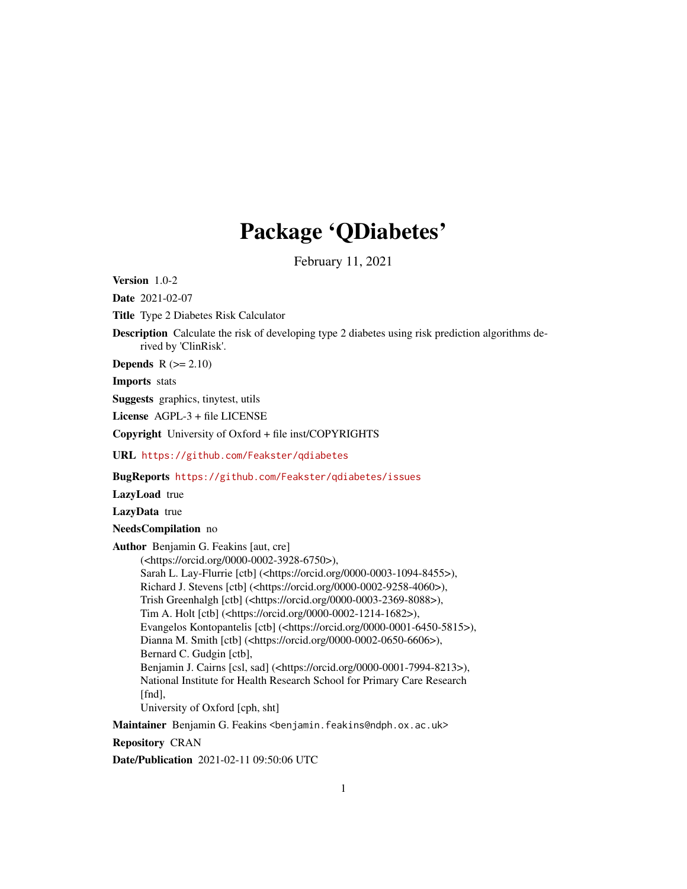# Package 'QDiabetes'

February 11, 2021

Version 1.0-2

Date 2021-02-07

Title Type 2 Diabetes Risk Calculator

Description Calculate the risk of developing type 2 diabetes using risk prediction algorithms derived by 'ClinRisk'.

**Depends**  $R$  ( $>= 2.10$ )

Imports stats

Suggests graphics, tinytest, utils

License AGPL-3 + file LICENSE

Copyright University of Oxford + file inst/COPYRIGHTS

URL <https://github.com/Feakster/qdiabetes>

BugReports <https://github.com/Feakster/qdiabetes/issues>

LazyLoad true

LazyData true

NeedsCompilation no

Author Benjamin G. Feakins [aut, cre] (<https://orcid.org/0000-0002-3928-6750>),

Sarah L. Lay-Flurrie [ctb] (<https://orcid.org/0000-0003-1094-8455>), Richard J. Stevens [ctb] (<https://orcid.org/0000-0002-9258-4060>), Trish Greenhalgh [ctb] (<https://orcid.org/0000-0003-2369-8088>), Tim A. Holt [ctb] (<https://orcid.org/0000-0002-1214-1682>), Evangelos Kontopantelis [ctb] (<https://orcid.org/0000-0001-6450-5815>), Dianna M. Smith [ctb] (<https://orcid.org/0000-0002-0650-6606>), Bernard C. Gudgin [ctb], Benjamin J. Cairns [csl, sad] (<https://orcid.org/0000-0001-7994-8213>), National Institute for Health Research School for Primary Care Research [fnd]. University of Oxford [cph, sht]

Maintainer Benjamin G. Feakins <br/>benjamin.feakins@ndph.ox.ac.uk>

Repository CRAN

Date/Publication 2021-02-11 09:50:06 UTC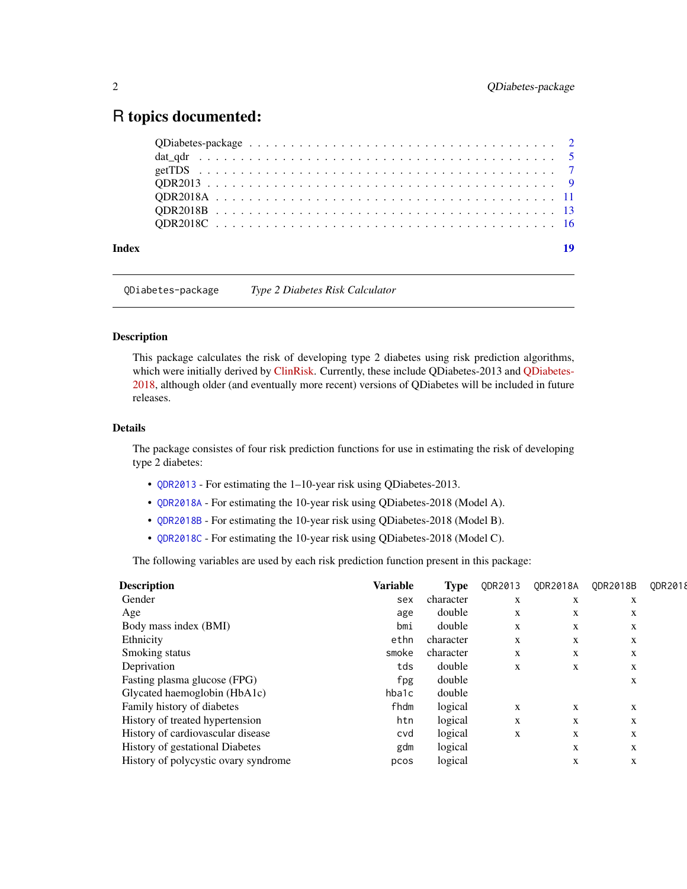# <span id="page-1-0"></span>R topics documented:

| Index | 19 |
|-------|----|

QDiabetes-package *Type 2 Diabetes Risk Calculator*

#### Description

This package calculates the risk of developing type 2 diabetes using risk prediction algorithms, which were initially derived by [ClinRisk.](https://clinrisk.co.uk/ClinRisk/Welcome.html) Currently, these include QDiabetes-2013 and [QDiabetes-](https://qdiabetes.org/)[2018,](https://qdiabetes.org/) although older (and eventually more recent) versions of QDiabetes will be included in future releases.

# Details

The package consistes of four risk prediction functions for use in estimating the risk of developing type 2 diabetes:

- [QDR2013](#page-8-1) For estimating the 1–10-year risk using QDiabetes-2013.
- [QDR2018A](#page-10-1) For estimating the 10-year risk using QDiabetes-2018 (Model A).
- [QDR2018B](#page-12-1) For estimating the 10-year risk using QDiabetes-2018 (Model B).
- [QDR2018C](#page-15-1) For estimating the 10-year risk using QDiabetes-2018 (Model C).

The following variables are used by each risk prediction function present in this package:

| <b>Variable</b> | <b>Type</b> | ODR2013 | <b>ODR2018A</b> | ODR2018B | ODR2018 |
|-----------------|-------------|---------|-----------------|----------|---------|
| sex             | character   | X       | X               | X        |         |
| age             | double      | X       | X               | X        |         |
| bmi             | double      | X       | X               | X        |         |
| ethn            | character   | X       | X               | X        |         |
| smoke           | character   | X       | X               | X        |         |
| tds             | double      | X       | X               | X        |         |
| fpg             | double      |         |                 | X        |         |
| hba1c           | double      |         |                 |          |         |
| fhdm            | logical     | X       | X               | X        |         |
| htn             | logical     | X       | X               | X        |         |
| cvd             | logical     | X       | X               | X        |         |
| gdm             | logical     |         | X               | X        |         |
| pcos            | logical     |         | X               | X        |         |
|                 |             |         |                 |          |         |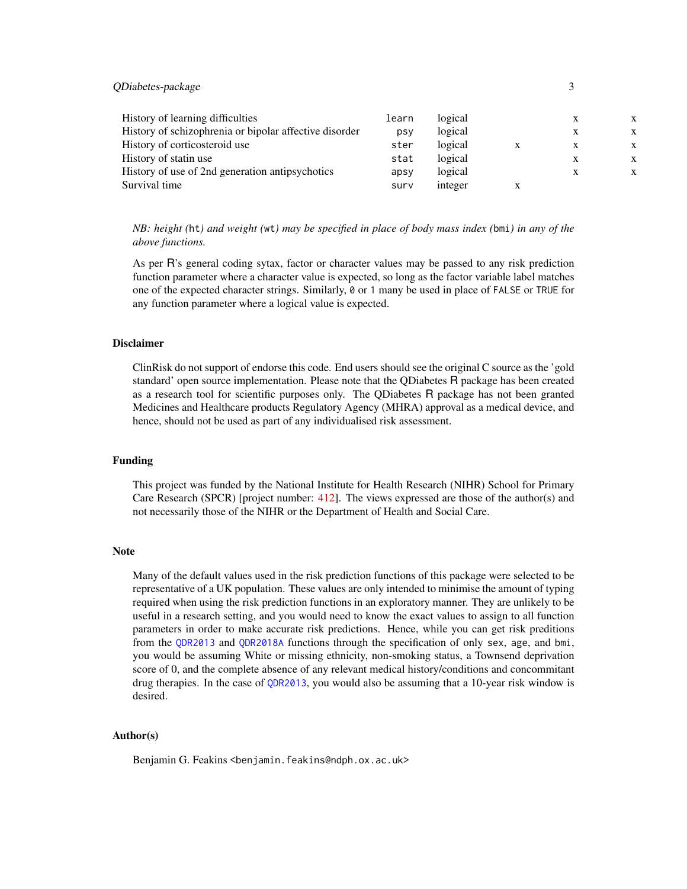<span id="page-2-0"></span>QDiabetes-package 3

| History of learning difficulties                       | learn | logical |   |  |
|--------------------------------------------------------|-------|---------|---|--|
| History of schizophrenia or bipolar affective disorder | psy   | logical |   |  |
| History of corticosteroid use                          | ster  | logical | X |  |
| History of statin use                                  | stat  | logical |   |  |
| History of use of 2nd generation antipsychotics        | apsy  | logical | X |  |
| Survival time                                          | surv  | integer |   |  |

*NB: height (*ht*) and weight (*wt*) may be specified in place of body mass index (*bmi*) in any of the above functions.*

As per R's general coding sytax, factor or character values may be passed to any risk prediction function parameter where a character value is expected, so long as the factor variable label matches one of the expected character strings. Similarly, 0 or 1 many be used in place of FALSE or TRUE for any function parameter where a logical value is expected.

#### Disclaimer

ClinRisk do not support of endorse this code. End users should see the original C source as the 'gold standard' open source implementation. Please note that the QDiabetes R package has been created as a research tool for scientific purposes only. The QDiabetes R package has not been granted Medicines and Healthcare products Regulatory Agency (MHRA) approval as a medical device, and hence, should not be used as part of any individualised risk assessment.

## Funding

This project was funded by the National Institute for Health Research (NIHR) School for Primary Care Research (SPCR) [project number: [412\]](https://www.spcr.nihr.ac.uk/projects/412-quantifying-the-risk-of-type-2-diabetes-across-the-uk). The views expressed are those of the author(s) and not necessarily those of the NIHR or the Department of Health and Social Care.

#### Note

Many of the default values used in the risk prediction functions of this package were selected to be representative of a UK population. These values are only intended to minimise the amount of typing required when using the risk prediction functions in an exploratory manner. They are unlikely to be useful in a research setting, and you would need to know the exact values to assign to all function parameters in order to make accurate risk predictions. Hence, while you can get risk preditions from the [QDR2013](#page-8-1) and [QDR2018A](#page-10-1) functions through the specification of only sex, age, and bmi, you would be assuming White or missing ethnicity, non-smoking status, a Townsend deprivation score of 0, and the complete absence of any relevant medical history/conditions and concommitant drug therapies. In the case of [QDR2013](#page-8-1), you would also be assuming that a 10-year risk window is desired.

# Author(s)

Benjamin G. Feakins <benjamin.feakins@ndph.ox.ac.uk>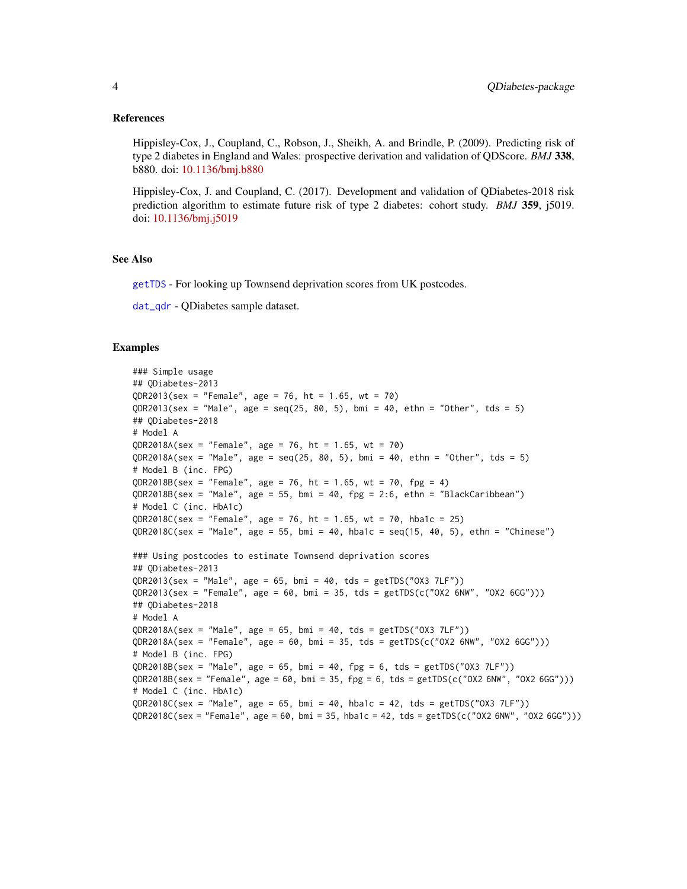#### <span id="page-3-0"></span>References

Hippisley-Cox, J., Coupland, C., Robson, J., Sheikh, A. and Brindle, P. (2009). Predicting risk of type 2 diabetes in England and Wales: prospective derivation and validation of QDScore. *BMJ* 338, b880. doi: [10.1136/bmj.b880](https://doi.org/10.1136/bmj.b880)

Hippisley-Cox, J. and Coupland, C. (2017). Development and validation of QDiabetes-2018 risk prediction algorithm to estimate future risk of type 2 diabetes: cohort study. *BMJ* 359, j5019. doi: [10.1136/bmj.j5019](https://doi.org/10.1136/bmj.j5019)

#### See Also

[getTDS](#page-6-1) - For looking up Townsend deprivation scores from UK postcodes.

[dat\\_qdr](#page-4-1) - QDiabetes sample dataset.

```
### Simple usage
## QDiabetes-2013
QDR2013(sex = "Female", age = 76, ht = 1.65, wt = 70)QDR2013(sex = "Male", age = seq(25, 80, 5), bmi = 40, ethn = "Other", tds = 5)
## QDiabetes-2018
# Model A
QDR2018A(sex = "Female", age = 76, ht = 1.65, wt = 70)
QDR2018A(sex = "Male", age = seq(25, 80, 5), bmi = 40, ethn = "Other", tds = 5)
# Model B (inc. FPG)
QDR2018B(sex = "Female", age = 76, ht = 1.65, wt = 70, fpg = 4)
QDR2018B(sex = "Male", age = 55, bmi = 40, fpg = 2:6, ethn = "BlackCaribbean")
# Model C (inc. HbA1c)
QDR2018C(sex = "Female", age = 76, ht = 1.65, wt = 70, hba1c = 25)
QDR2018C(sex = "Male", age = 55, bmi = 40, hba1c = seq(15, 40, 5), ethn = "Chinese")
### Using postcodes to estimate Townsend deprivation scores
## QDiabetes-2013
QDR2013(sex = "Male", age = 65, bmi = 40, tds = getTDS("OX3 7LF"))
QDR2013(sex = "Female", age = 60, bmi = 35, tds = getTDS(c("OX2 6NW", "OX2 6GG")))
## QDiabetes-2018
# Model A
QDR2018A(sex = "Male", age = 65, bmi = 40, tds = getTDS("OX3 7LF"))
QDR2018A(sex = "Female", age = 60, bmi = 35, tds = getTDS(c("OX2 6NW", "OX2 6GG")))
# Model B (inc. FPG)
QDR2018B(sex = "Male", age = 65, bmi = 40, fpg = 6, tds = getTDS("OX3 7LF"))
QDR2018B(sex = "Female", age = 60, bmi = 35, fpg = 6, tds = getTDS(c("OX2 6NW", "OX2 6GG")))
# Model C (inc. HbA1c)
QDR2018C(sex = "Male", age = 65, bmi = 40, hba1c = 42, tds = getTDS("OX3 7LF"))
QDR2018C(sex = "Female", age = 60, bmi = 35, habalc = 42, tds = getTDS(c("OX2 6NW", "OX2 6GG")))
```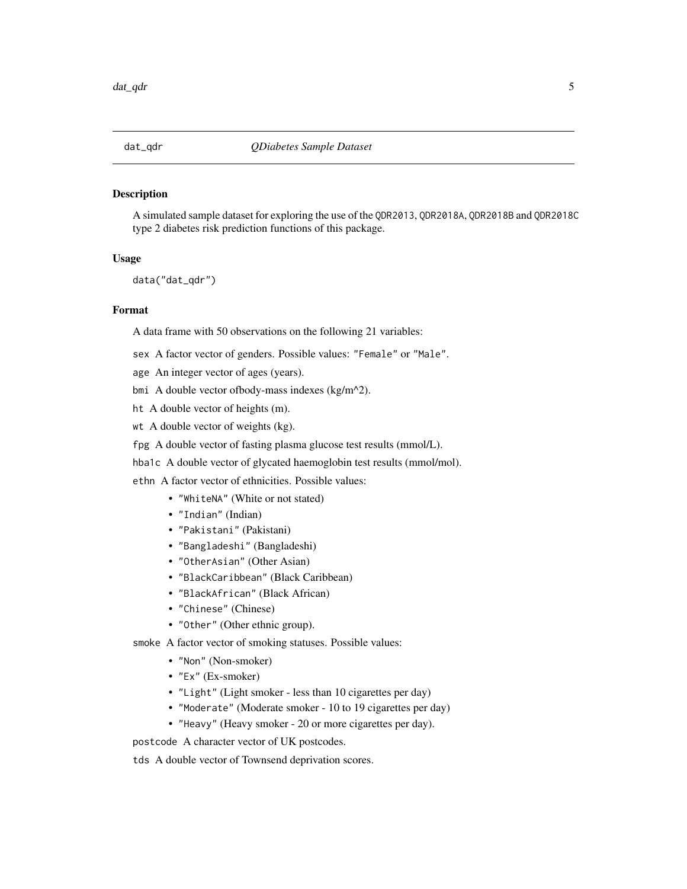<span id="page-4-1"></span><span id="page-4-0"></span>

#### Description

A simulated sample dataset for exploring the use of the QDR2013, QDR2018A, QDR2018B and QDR2018C type 2 diabetes risk prediction functions of this package.

# Usage

data("dat\_qdr")

#### Format

A data frame with 50 observations on the following 21 variables:

- sex A factor vector of genders. Possible values: "Female" or "Male".
- age An integer vector of ages (years).
- bmi A double vector ofbody-mass indexes (kg/m^2).
- ht A double vector of heights (m).
- wt A double vector of weights (kg).
- fpg A double vector of fasting plasma glucose test results (mmol/L).
- hba1c A double vector of glycated haemoglobin test results (mmol/mol).

ethn A factor vector of ethnicities. Possible values:

- "WhiteNA" (White or not stated)
- "Indian" (Indian)
- "Pakistani" (Pakistani)
- "Bangladeshi" (Bangladeshi)
- "OtherAsian" (Other Asian)
- "BlackCaribbean" (Black Caribbean)
- "BlackAfrican" (Black African)
- "Chinese" (Chinese)
- "Other" (Other ethnic group).

smoke A factor vector of smoking statuses. Possible values:

- "Non" (Non-smoker)
- "Ex" (Ex-smoker)
- "Light" (Light smoker less than 10 cigarettes per day)
- "Moderate" (Moderate smoker 10 to 19 cigarettes per day)
- "Heavy" (Heavy smoker 20 or more cigarettes per day).

postcode A character vector of UK postcodes.

tds A double vector of Townsend deprivation scores.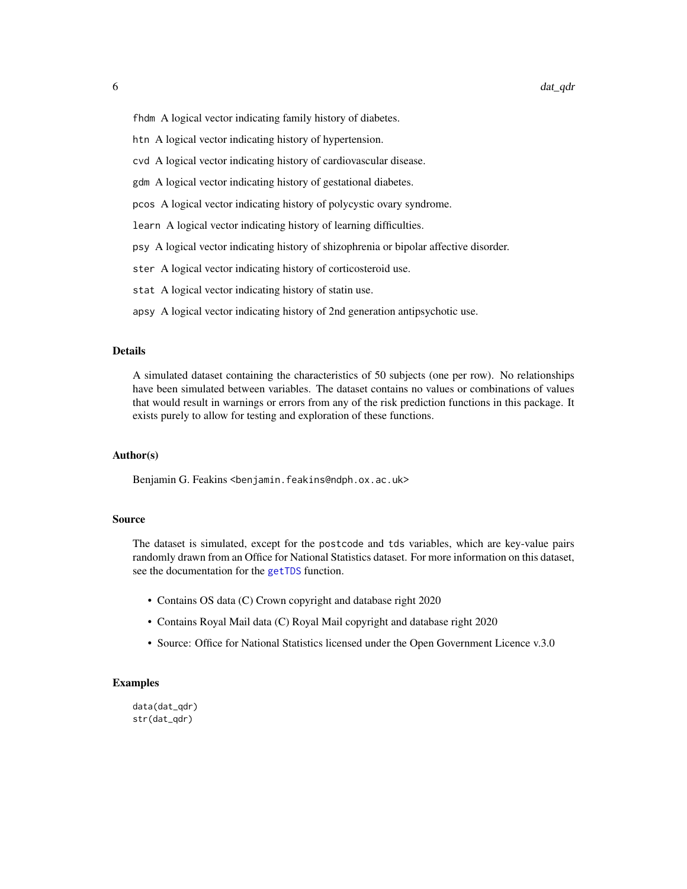<span id="page-5-0"></span>fhdm A logical vector indicating family history of diabetes.

- htn A logical vector indicating history of hypertension.
- cvd A logical vector indicating history of cardiovascular disease.
- gdm A logical vector indicating history of gestational diabetes.
- pcos A logical vector indicating history of polycystic ovary syndrome.
- learn A logical vector indicating history of learning difficulties.
- psy A logical vector indicating history of shizophrenia or bipolar affective disorder.
- ster A logical vector indicating history of corticosteroid use.
- stat A logical vector indicating history of statin use.
- apsy A logical vector indicating history of 2nd generation antipsychotic use.

# Details

A simulated dataset containing the characteristics of 50 subjects (one per row). No relationships have been simulated between variables. The dataset contains no values or combinations of values that would result in warnings or errors from any of the risk prediction functions in this package. It exists purely to allow for testing and exploration of these functions.

#### Author(s)

Benjamin G. Feakins <benjamin.feakins@ndph.ox.ac.uk>

#### Source

The dataset is simulated, except for the postcode and tds variables, which are key-value pairs randomly drawn from an Office for National Statistics dataset. For more information on this dataset, see the documentation for the [getTDS](#page-6-1) function.

- Contains OS data (C) Crown copyright and database right 2020
- Contains Royal Mail data (C) Royal Mail copyright and database right 2020
- Source: Office for National Statistics licensed under the Open Government Licence v.3.0

```
data(dat_qdr)
str(dat_qdr)
```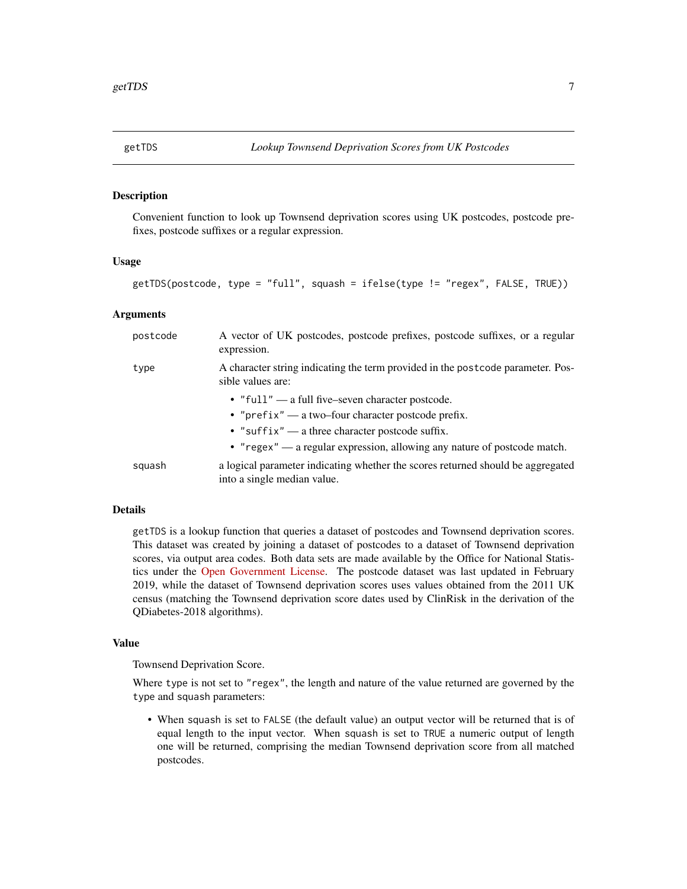<span id="page-6-1"></span><span id="page-6-0"></span>

# Description

Convenient function to look up Townsend deprivation scores using UK postcodes, postcode prefixes, postcode suffixes or a regular expression.

# Usage

```
getTDS(postcode, type = "full", squash = ifelse(type != "regex", FALSE, TRUE))
```
# Arguments

| postcode | A vector of UK postcodes, postcode prefixes, postcode suffixes, or a regular<br>expression.                    |
|----------|----------------------------------------------------------------------------------------------------------------|
| type     | A character string indicating the term provided in the postcode parameter. Pos-<br>sible values are:           |
|          | • "full" — a full five-seven character postcode.                                                               |
|          | • " $prefix$ " — a two-four character postcode prefix.                                                         |
|          | • "suffix" — a three character postcode suffix.                                                                |
|          | • " $regex"$ — a regular expression, allowing any nature of postcode match.                                    |
| squash   | a logical parameter indicating whether the scores returned should be aggregated<br>into a single median value. |

#### Details

getTDS is a lookup function that queries a dataset of postcodes and Townsend deprivation scores. This dataset was created by joining a dataset of postcodes to a dataset of Townsend deprivation scores, via output area codes. Both data sets are made available by the Office for National Statistics under the [Open Government License.](https://www.nationalarchives.gov.uk/doc/open-government-licence/version/3/) The postcode dataset was last updated in February 2019, while the dataset of Townsend deprivation scores uses values obtained from the 2011 UK census (matching the Townsend deprivation score dates used by ClinRisk in the derivation of the QDiabetes-2018 algorithms).

#### Value

Townsend Deprivation Score.

Where type is not set to "regex", the length and nature of the value returned are governed by the type and squash parameters:

• When squash is set to FALSE (the default value) an output vector will be returned that is of equal length to the input vector. When squash is set to TRUE a numeric output of length one will be returned, comprising the median Townsend deprivation score from all matched postcodes.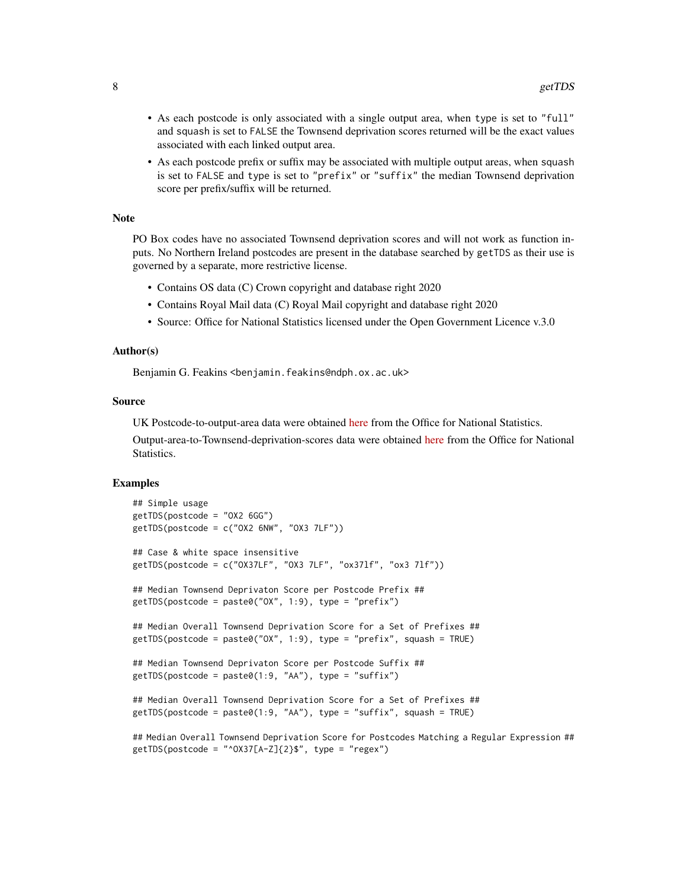- As each postcode is only associated with a single output area, when type is set to "full" and squash is set to FALSE the Townsend deprivation scores returned will be the exact values associated with each linked output area.
- As each postcode prefix or suffix may be associated with multiple output areas, when squash is set to FALSE and type is set to "prefix" or "suffix" the median Townsend deprivation score per prefix/suffix will be returned.

#### Note

PO Box codes have no associated Townsend deprivation scores and will not work as function inputs. No Northern Ireland postcodes are present in the database searched by getTDS as their use is governed by a separate, more restrictive license.

- Contains OS data (C) Crown copyright and database right 2020
- Contains Royal Mail data (C) Royal Mail copyright and database right 2020
- Source: Office for National Statistics licensed under the Open Government Licence v.3.0

#### Author(s)

Benjamin G. Feakins <benjamin.feakins@ndph.ox.ac.uk>

#### Source

UK Postcode-to-output-area data were obtained [here](http://geoportal1-ons.opendata.arcgis.com/datasets/postcode-to-output-area-to-lower-layer-super-output-area-to-middle-layer-super-output-area-to-local-authority-district-february-2019-lookup-in-the-uk) from the Office for National Statistics.

Output-area-to-Townsend-deprivation-scores data were obtained [here](https://www.statistics.digitalresources.jisc.ac.uk/dataset/2011-uk-townsend-deprivation-scores) from the Office for National Statistics.

```
## Simple usage
getTDS(postcode = "OX2 6GG")
getTDS(postcode = c("OX2 6NW", "OX3 7LF"))## Case & white space insensitive
getTDS(postcode = c("OX37LF", "OX3 7LF", "ox37lf", "ox3 7lf"))
## Median Townsend Deprivaton Score per Postcode Prefix ##
getTDS(postcode = paste0("OX", 1:9), type = "prefix")
## Median Overall Townsend Deprivation Score for a Set of Prefixes ##
getTDS(postcode = paste0("OX", 1:9), type = "prefix", squash = TRUE)
## Median Townsend Deprivaton Score per Postcode Suffix ##
getTDS(postcode = paste0(1:9, "AA"), type = "suffix")
## Median Overall Townsend Deprivation Score for a Set of Prefixes ##
getTDS(postcode = paste0(1:9, "AA"), type = "suffix", squash = TRUE)
## Median Overall Townsend Deprivation Score for Postcodes Matching a Regular Expression ##
getTDS(postcode = "^OX37[A-Z]{2}$", type = "regex")
```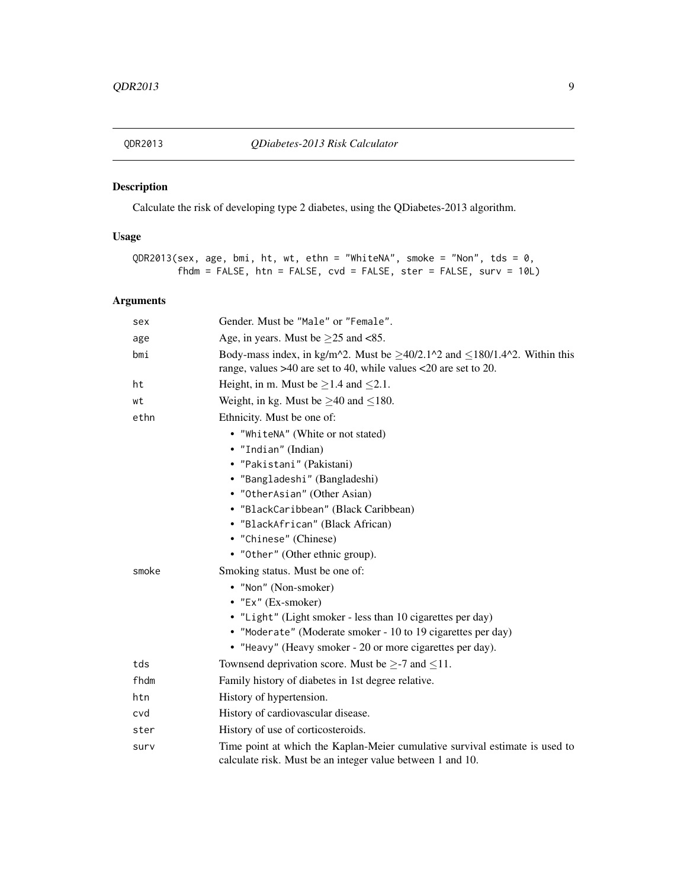<span id="page-8-1"></span><span id="page-8-0"></span>

# Description

Calculate the risk of developing type 2 diabetes, using the QDiabetes-2013 algorithm.

# Usage

```
QDR2013(sex, age, bmi, ht, wt, ethn = "WhiteNA", smoke = "Non", tds = 0,
       fhdm = FALSE, htn = FALSE, cvd = FALSE, ster = FALSE, surv = 10L)
```
# Arguments

| sex   | Gender. Must be "Male" or "Female".                                                                                                                                                                                                                           |
|-------|---------------------------------------------------------------------------------------------------------------------------------------------------------------------------------------------------------------------------------------------------------------|
| age   | Age, in years. Must be $\geq$ 25 and <85.                                                                                                                                                                                                                     |
| bmi   | Body-mass index, in kg/m <sup><math>\lambda</math></sup> 2. Must be $\geq$ 40/2.1 <sup><math>\lambda</math></sup> 2 and $\leq$ 180/1.4 <sup><math>\lambda</math></sup> 2. Within this<br>range, values $>40$ are set to 40, while values $<20$ are set to 20. |
| ht    | Height, in m. Must be $\geq$ 1.4 and $\leq$ 2.1.                                                                                                                                                                                                              |
| wt    | Weight, in kg. Must be $\geq$ 40 and $\leq$ 180.                                                                                                                                                                                                              |
| ethn  | Ethnicity. Must be one of:                                                                                                                                                                                                                                    |
|       | • "WhiteNA" (White or not stated)                                                                                                                                                                                                                             |
|       | • "Indian" (Indian)                                                                                                                                                                                                                                           |
|       | • "Pakistani" (Pakistani)                                                                                                                                                                                                                                     |
|       | • "Bangladeshi" (Bangladeshi)                                                                                                                                                                                                                                 |
|       | • "OtherAsian" (Other Asian)                                                                                                                                                                                                                                  |
|       | • "BlackCaribbean" (Black Caribbean)                                                                                                                                                                                                                          |
|       | • "BlackAfrican" (Black African)                                                                                                                                                                                                                              |
|       | • "Chinese" (Chinese)                                                                                                                                                                                                                                         |
|       | • "Other" (Other ethnic group).                                                                                                                                                                                                                               |
| smoke | Smoking status. Must be one of:                                                                                                                                                                                                                               |
|       | • "Non" (Non-smoker)                                                                                                                                                                                                                                          |
|       | • "Ex" (Ex-smoker)                                                                                                                                                                                                                                            |
|       | • "Light" (Light smoker - less than 10 cigarettes per day)                                                                                                                                                                                                    |
|       | • "Moderate" (Moderate smoker - 10 to 19 cigarettes per day)                                                                                                                                                                                                  |
|       | • "Heavy" (Heavy smoker - 20 or more cigarettes per day).                                                                                                                                                                                                     |
| tds   | Townsend deprivation score. Must be $\geq$ -7 and $\leq$ 11.                                                                                                                                                                                                  |
| fhdm  | Family history of diabetes in 1st degree relative.                                                                                                                                                                                                            |
| htn   | History of hypertension.                                                                                                                                                                                                                                      |
| cvd   | History of cardiovascular disease.                                                                                                                                                                                                                            |
| ster  | History of use of corticosteroids.                                                                                                                                                                                                                            |
| surv  | Time point at which the Kaplan-Meier cumulative survival estimate is used to<br>calculate risk. Must be an integer value between 1 and 10.                                                                                                                    |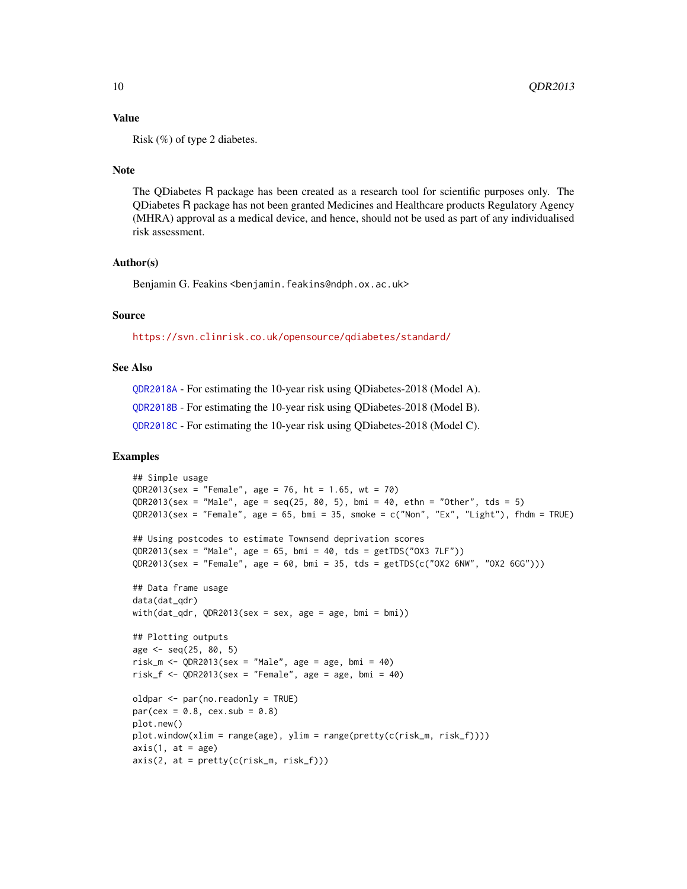## Value

Risk (%) of type 2 diabetes.

# Note

The QDiabetes R package has been created as a research tool for scientific purposes only. The QDiabetes R package has not been granted Medicines and Healthcare products Regulatory Agency (MHRA) approval as a medical device, and hence, should not be used as part of any individualised risk assessment.

#### Author(s)

Benjamin G. Feakins <benjamin.feakins@ndph.ox.ac.uk>

# Source

<https://svn.clinrisk.co.uk/opensource/qdiabetes/standard/>

# See Also

[QDR2018A](#page-10-1) - For estimating the 10-year risk using QDiabetes-2018 (Model A). [QDR2018B](#page-12-1) - For estimating the 10-year risk using QDiabetes-2018 (Model B). [QDR2018C](#page-15-1) - For estimating the 10-year risk using QDiabetes-2018 (Model C).

```
## Simple usage
QDR2013(sex = "Female", age = 76, ht = 1.65, wt = 70)
QDR2013(sex = "Male", age = seq(25, 80, 5), bmi = 40, ethn = "Other", tds = 5)
QDR2013(sex = "Female", age = 65, bmi = 35, smoke = c("Non", "Ex", "Light"), fhdm = TRUE)
## Using postcodes to estimate Townsend deprivation scores
QDR2013(sex = "Male", age = 65, bmi = 40, tds = getTDS("OX3 7LF"))
QDR2013(sex = "Female", age = 60, bm = 35, tds = getTDS(c("OX2 6NW", "OX2 6GG")))## Data frame usage
data(dat_qdr)
with(dat_qdr, QDR2013(sex = sex, age = age, bmi = bmi))
## Plotting outputs
age <- seq(25, 80, 5)
risk_m <- QDR2013(sex = "Male", age = age, bmi = 40)
risk_f <- QDR2013(sex = "Female", age = age, bmi = 40)
oldpar <- par(no.readonly = TRUE)
par(cex = 0.8, cex.sub = 0.8)plot.new()
plot.window(xlim = range(age), ylim = range(pretty(c(risk_m, risk_f))))
axis(1, at = age)axis(2, at = pretty(c(risk_m, risk_f)))
```
<span id="page-9-0"></span>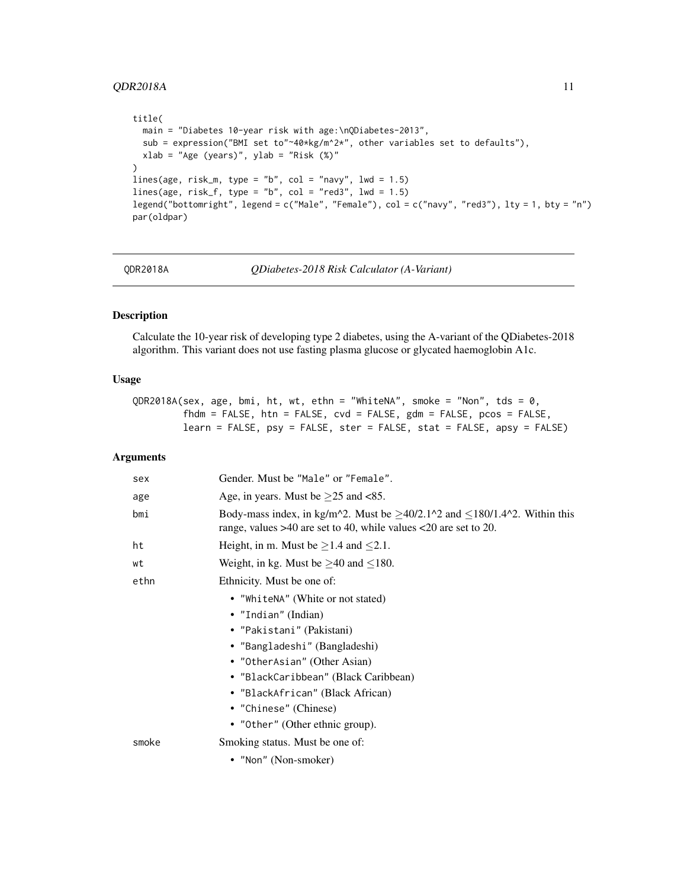# <span id="page-10-0"></span>QDR2018A 11

```
title(
  main = "Diabetes 10-year risk with age:\nQDiabetes-2013",
  sub = expression("BMI set to"~40*kg/m^2*", other variables set to defaults"),
  xlab = "Age (years)", ylab = "Risk ($)")
lines(age, risk_m, type = "b", col = "navy", lwd = 1.5)
lines(age, risk_f, type = "b", col = "red3", lwd = 1.5)
legend("bottomright", legend = c("Male", "Female"), col = c("navy", "red3"), lty = 1, bty = "n")
par(oldpar)
```
QDR2018A *QDiabetes-2018 Risk Calculator (A-Variant)*

# Description

Calculate the 10-year risk of developing type 2 diabetes, using the A-variant of the QDiabetes-2018 algorithm. This variant does not use fasting plasma glucose or glycated haemoglobin A1c.

# Usage

```
QDR2018A(sex, age, bmi, ht, wt, ethn = "WhiteNA", smoke = "Non", tds = 0,
         fhdm = FALSE, htn = FALSE, cvd = FALSE, gdm = FALSE, pcos = FALSE,
        learn = FALSE, psy = FALSE, ster = FALSE, stat = FALSE, apsy = FALSE)
```
# Arguments

| sex   | Gender. Must be "Male" or "Female".                                                                                                                                                                                                                           |
|-------|---------------------------------------------------------------------------------------------------------------------------------------------------------------------------------------------------------------------------------------------------------------|
| age   | Age, in years. Must be $\geq$ 25 and <85.                                                                                                                                                                                                                     |
| bmi   | Body-mass index, in kg/m <sup><math>\lambda</math></sup> 2. Must be $\geq$ 40/2.1 <sup><math>\lambda</math></sup> 2 and $\leq$ 180/1.4 <sup><math>\lambda</math></sup> 2. Within this<br>range, values $>40$ are set to 40, while values $<20$ are set to 20. |
| ht    | Height, in m. Must be $\geq$ 1.4 and $\leq$ 2.1.                                                                                                                                                                                                              |
| wt    | Weight, in kg. Must be $\geq$ 40 and $\leq$ 180.                                                                                                                                                                                                              |
| ethn  | Ethnicity. Must be one of:                                                                                                                                                                                                                                    |
|       | • "WhiteNA" (White or not stated)                                                                                                                                                                                                                             |
|       | • "Indian" (Indian)                                                                                                                                                                                                                                           |
|       | • "Pakistani" (Pakistani)                                                                                                                                                                                                                                     |
|       | • "Bangladeshi" (Bangladeshi)                                                                                                                                                                                                                                 |
|       | • "OtherAsian" (Other Asian)                                                                                                                                                                                                                                  |
|       | • "BlackCaribbean" (Black Caribbean)                                                                                                                                                                                                                          |
|       | • "BlackAfrican" (Black African)                                                                                                                                                                                                                              |
|       | • "Chinese" (Chinese)                                                                                                                                                                                                                                         |
|       | • "Other" (Other ethnic group).                                                                                                                                                                                                                               |
| smoke | Smoking status. Must be one of:                                                                                                                                                                                                                               |
|       | • "Non" (Non-smoker)                                                                                                                                                                                                                                          |
|       |                                                                                                                                                                                                                                                               |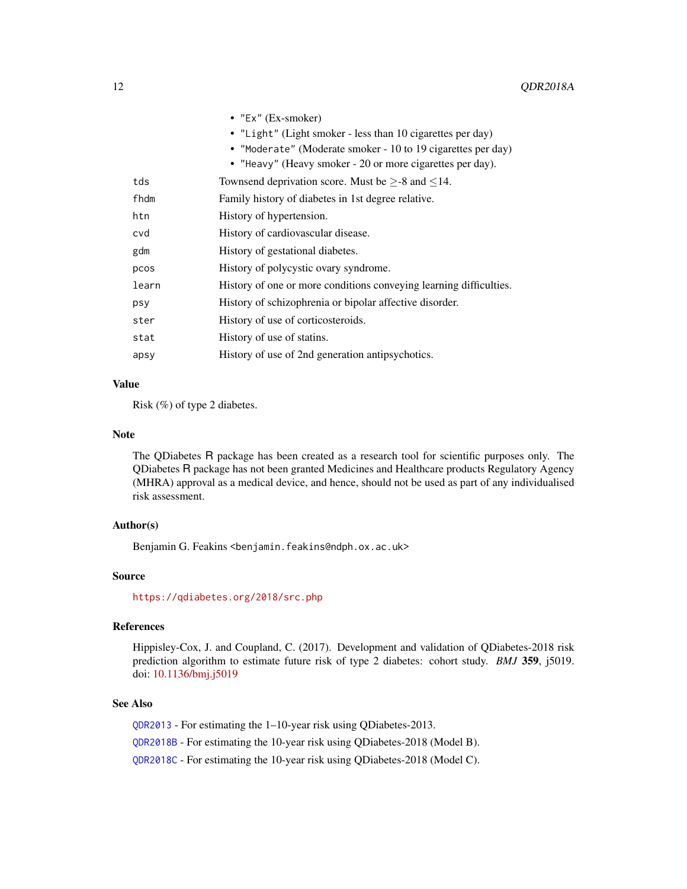<span id="page-11-0"></span>

|       | • $"Ex"$ (Ex-smoker)                                               |
|-------|--------------------------------------------------------------------|
|       | • "Light" (Light smoker - less than 10 cigarettes per day)         |
|       | • "Moderate" (Moderate smoker - 10 to 19 cigarettes per day)       |
|       | • "Heavy" (Heavy smoker - 20 or more cigarettes per day).          |
| tds   | Townsend deprivation score. Must be $\geq$ -8 and $\leq$ 14.       |
| fhdm  | Family history of diabetes in 1st degree relative.                 |
| htn   | History of hypertension.                                           |
| cvd   | History of cardiovascular disease.                                 |
| gdm   | History of gestational diabetes.                                   |
| pcos  | History of polycystic ovary syndrome.                              |
| learn | History of one or more conditions conveying learning difficulties. |
| psy   | History of schizophrenia or bipolar affective disorder.            |
| ster  | History of use of corticosteroids.                                 |
| stat  | History of use of statins.                                         |
| apsy  | History of use of 2nd generation antipsychotics.                   |
|       |                                                                    |

# Value

Risk (%) of type 2 diabetes.

# Note

The QDiabetes R package has been created as a research tool for scientific purposes only. The QDiabetes R package has not been granted Medicines and Healthcare products Regulatory Agency (MHRA) approval as a medical device, and hence, should not be used as part of any individualised risk assessment.

# Author(s)

Benjamin G. Feakins <benjamin.feakins@ndph.ox.ac.uk>

# Source

<https://qdiabetes.org/2018/src.php>

# References

Hippisley-Cox, J. and Coupland, C. (2017). Development and validation of QDiabetes-2018 risk prediction algorithm to estimate future risk of type 2 diabetes: cohort study. *BMJ* 359, j5019. doi: [10.1136/bmj.j5019](https://doi.org/10.1136/bmj.j5019)

# See Also

[QDR2013](#page-8-1) - For estimating the 1–10-year risk using QDiabetes-2013. [QDR2018B](#page-12-1) - For estimating the 10-year risk using QDiabetes-2018 (Model B). [QDR2018C](#page-15-1) - For estimating the 10-year risk using QDiabetes-2018 (Model C).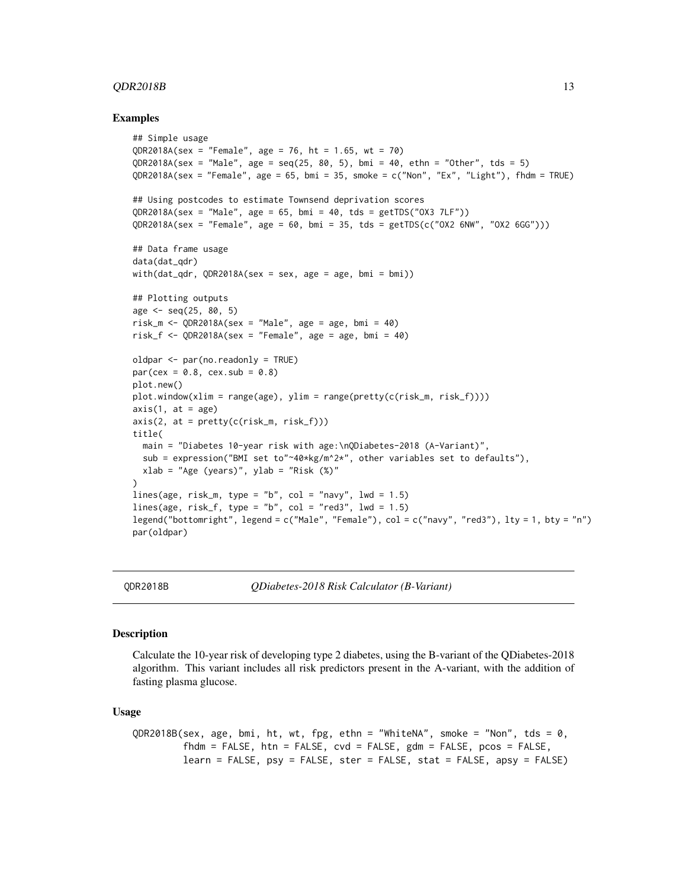#### <span id="page-12-0"></span> $QDR2018B$  13

#### Examples

```
## Simple usage
QDR2018A(sex = "Female", age = 76, ht = 1.65, wt = 70)OR2018A(sex = "Male", age = seq(25, 80, 5), bmi = 40, ethn = "Other", tds = 5)
QDR2018A(sex = "Female", age = 65, bmi = 35, smoke = c("Non", "Ex", "Light"), fhdm = TRUE)
## Using postcodes to estimate Townsend deprivation scores
QDR2018A(sex = "Male", age = 65, bmi = 40, tds = getTDS("OX3 7LF"))
QDR2018A(sex = "Female", age = 60, bmi = 35, tds = getTDS(c("OX2 6NW", "OX2 6GG")))
## Data frame usage
data(dat_qdr)
with(dat_qdr, QDR2018A(sex = sex, age = age, bmi = bmi))
## Plotting outputs
age \le seq(25, 80, 5)
risk_m \leftarrow \text{OPR2018A}(sex = "Male", age = age, bmi = 40)
risk_f \leftarrow QDR2018A(sex = "Female", age = age, bmi = 40)oldpar <- par(no.readonly = TRUE)
par(cex = 0.8, cex.sub = 0.8)plot.new()
plot.window(xlim = range(age), ylim = range(pretty(c(risk_m, risk_f))))axis(1, at = age)axis(2, at = pretty(c(risk_m, risk_f)))title(
  main = "Diabetes 10-year risk with age:\nQDiabetes-2018 (A-Variant)",
  sub = expression("BMI set to"~40*kg/m^2*", other variables set to defaults"),
  xlab = "Age (years)", ylab = "Risk ($)")
lines(age, risk_m, type = "b", col = "navy", lwd = 1.5)
lines(age, risk_f, type = "b", col = "red3", lwd = 1.5)
legend("bottomright", legend = c("Male", "Female"), col = c("navy", "red3"), lty = 1, bty = "n")
par(oldpar)
```
<span id="page-12-1"></span>

QDR2018B *QDiabetes-2018 Risk Calculator (B-Variant)*

#### **Description**

Calculate the 10-year risk of developing type 2 diabetes, using the B-variant of the QDiabetes-2018 algorithm. This variant includes all risk predictors present in the A-variant, with the addition of fasting plasma glucose.

## Usage

```
QDR2018B(sex, age, bmi, ht, wt, fpg, ethn = "WhiteNA", smoke = "Non", tds = 0,
         fhdm = FALSE, htn = FALSE, cvd = FALSE, gdm = FALSE, pcos = FALSE,
         learn = FALSE, psy = FALSE, ster = FALSE, stat = FALSE, apsy = FALSE)
```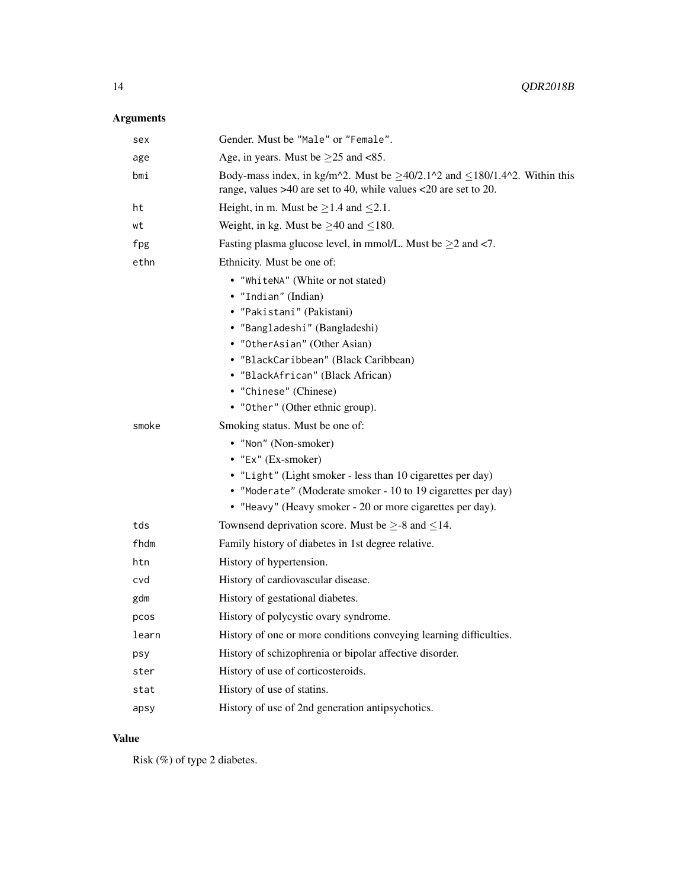# Arguments

| sex   | Gender. Must be "Male" or "Female".                                                                                                                       |
|-------|-----------------------------------------------------------------------------------------------------------------------------------------------------------|
| age   | Age, in years. Must be $\geq$ 25 and <85.                                                                                                                 |
| bmi   | Body-mass index, in kg/m^2. Must be $\geq$ 40/2.1^2 and $\leq$ 180/1.4^2. Within this<br>range, values >40 are set to 40, while values <20 are set to 20. |
| ht    | Height, in m. Must be $\geq$ 1.4 and $\leq$ 2.1.                                                                                                          |
| wt    | Weight, in kg. Must be $\geq$ 40 and $\leq$ 180.                                                                                                          |
| fpg   | Fasting plasma glucose level, in mmol/L. Must be $\geq$ 2 and <7.                                                                                         |
| ethn  | Ethnicity. Must be one of:                                                                                                                                |
|       | • "WhiteNA" (White or not stated)                                                                                                                         |
|       | • "Indian" (Indian)                                                                                                                                       |
|       | • "Pakistani" (Pakistani)                                                                                                                                 |
|       | • "Bangladeshi" (Bangladeshi)                                                                                                                             |
|       | • "OtherAsian" (Other Asian)                                                                                                                              |
|       | • "BlackCaribbean" (Black Caribbean)                                                                                                                      |
|       | • "BlackAfrican" (Black African)                                                                                                                          |
|       | • "Chinese" (Chinese)                                                                                                                                     |
|       | • "Other" (Other ethnic group).                                                                                                                           |
| smoke | Smoking status. Must be one of:                                                                                                                           |
|       | • "Non" (Non-smoker)                                                                                                                                      |
|       | $\bullet$ "Ex" (Ex-smoker)                                                                                                                                |
|       | • "Light" (Light smoker - less than 10 cigarettes per day)<br>• "Moderate" (Moderate smoker - 10 to 19 cigarettes per day)                                |
|       | • "Heavy" (Heavy smoker - 20 or more cigarettes per day).                                                                                                 |
| tds   | Townsend deprivation score. Must be $\geq$ -8 and $\leq$ 14.                                                                                              |
| fhdm  | Family history of diabetes in 1st degree relative.                                                                                                        |
| htn   | History of hypertension.                                                                                                                                  |
| cvd   | History of cardiovascular disease.                                                                                                                        |
| gdm   | History of gestational diabetes.                                                                                                                          |
| pcos  | History of polycystic ovary syndrome.                                                                                                                     |
| learn | History of one or more conditions conveying learning difficulties.                                                                                        |
|       |                                                                                                                                                           |
| psy   | History of schizophrenia or bipolar affective disorder.                                                                                                   |
| ster  | History of use of corticosteroids.                                                                                                                        |
| stat  | History of use of statins.                                                                                                                                |
| apsy  | History of use of 2nd generation antipsychotics.                                                                                                          |
|       |                                                                                                                                                           |

# Value

Risk (%) of type 2 diabetes.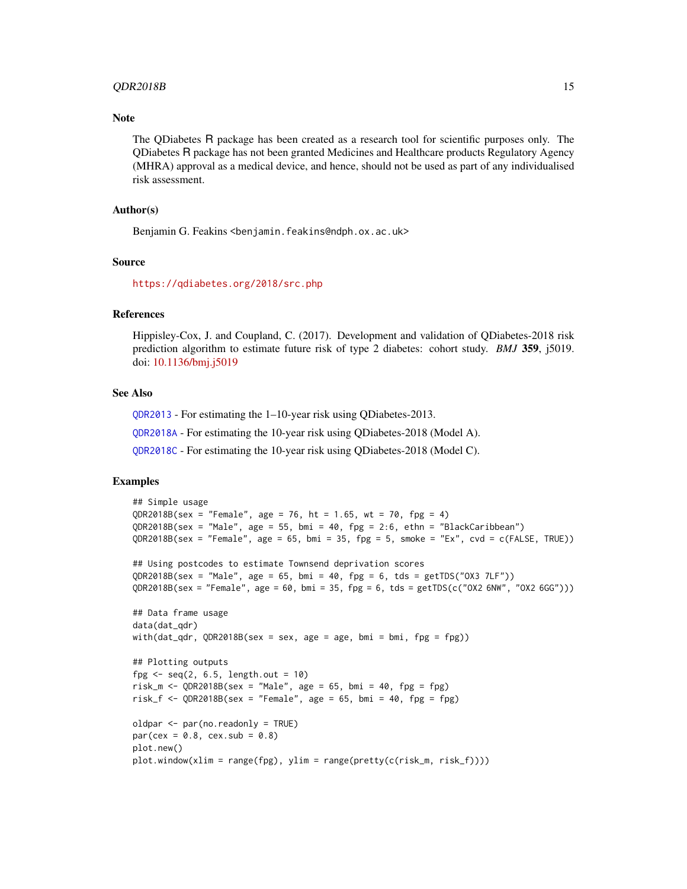#### <span id="page-14-0"></span> $QDR2018B$  15

# **Note**

The QDiabetes R package has been created as a research tool for scientific purposes only. The QDiabetes R package has not been granted Medicines and Healthcare products Regulatory Agency (MHRA) approval as a medical device, and hence, should not be used as part of any individualised risk assessment.

# Author(s)

Benjamin G. Feakins <benjamin.feakins@ndph.ox.ac.uk>

#### Source

<https://qdiabetes.org/2018/src.php>

# References

Hippisley-Cox, J. and Coupland, C. (2017). Development and validation of QDiabetes-2018 risk prediction algorithm to estimate future risk of type 2 diabetes: cohort study. *BMJ* 359, j5019. doi: [10.1136/bmj.j5019](https://doi.org/10.1136/bmj.j5019)

# See Also

[QDR2013](#page-8-1) - For estimating the 1–10-year risk using QDiabetes-2013.

[QDR2018A](#page-10-1) - For estimating the 10-year risk using QDiabetes-2018 (Model A).

[QDR2018C](#page-15-1) - For estimating the 10-year risk using QDiabetes-2018 (Model C).

```
## Simple usage
QR2018B(sex = "Female", age = 76, ht = 1.65, wt = 70, fpg = 4)
QDR2018B(sex = "Male", age = 55, bmi = 40, fpg = 2:6, ethn = "BlackCaribbean")
QDR2018B(sex = "Female", age = 65, bmi = 35, fpg = 5, smoke = "Ex", cvd = c(FALSE, TRUE))
## Using postcodes to estimate Townsend deprivation scores
QDR2018B(sex = "Male", age = 65, bmi = 40, fpg = 6, tds = getTDS("OX3 7LF"))
QDR2018B(sex = "Female", age = 60, bmi = 35, fpg = 6, tds = getTDS(c("OX2 6NW", "OX2 6GG")))
## Data frame usage
data(dat_qdr)
with(dat_qdr, QDR2018B(sex = sex, age = age, bmi = bmi, fpg = fpg))
## Plotting outputs
fpg <- seq(2, 6.5, length.out = 10)
risk_m <- QDR2018B(sex = "Male", age = 65, bmi = 40, fpg = fpg)
risk_f <- QDR2018B(sex = "Female", age = 65, bmi = 40, fpg = fpg)
oldpar <- par(no.readonly = TRUE)
par(cex = 0.8, cex.sub = 0.8)plot.new()
plot.window(xlim = range(fpg), ylim = range(pretty(c(risk_m, risk_f))))
```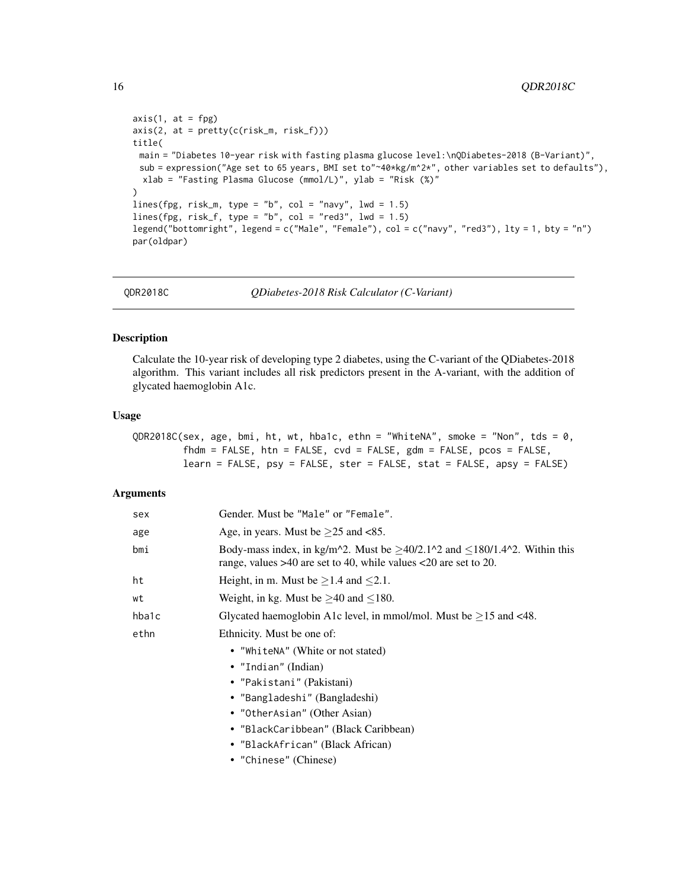```
axis(1, at = fpg)axis(2, at = pretty(c(risk_m, risk_f)))title(
 main = "Diabetes 10-year risk with fasting plasma glucose level:\nQDiabetes-2018 (B-Variant)",
 sub = expression("Age set to 65 years, BMI set to"~40*kg/m^2*", other variables set to defaults"),
 xlab = "Fasting Plasma Glucose (mmol/L)", ylab = "Risk (%)"
\lambdalines(fpg, risk_m, type = "b", col = "navy", lwd = 1.5)
lines(fpg, risk_f, type = "b", col = "red3", lwd = 1.5)
legend("bottomright", legend = c("Male", "Female"), col = c("navy", "red3"), lty = 1, bty = "n")
par(oldpar)
```
<span id="page-15-1"></span>

QDR2018C *QDiabetes-2018 Risk Calculator (C-Variant)*

# Description

Calculate the 10-year risk of developing type 2 diabetes, using the C-variant of the QDiabetes-2018 algorithm. This variant includes all risk predictors present in the A-variant, with the addition of glycated haemoglobin A1c.

#### Usage

QDR2018C(sex, age, bmi, ht, wt, hba1c, ethn = "WhiteNA", smoke = "Non", tds = 0, fhdm = FALSE, htn = FALSE, cvd = FALSE, gdm = FALSE, pcos = FALSE, learn = FALSE, psy = FALSE, ster = FALSE, stat = FALSE, apsy = FALSE)

# Arguments

| sex   | Gender. Must be "Male" or "Female".                                                                                                                                                                                                                          |
|-------|--------------------------------------------------------------------------------------------------------------------------------------------------------------------------------------------------------------------------------------------------------------|
| age   | Age, in years. Must be $\geq$ 25 and <85.                                                                                                                                                                                                                    |
| bmi   | Body-mass index, in kg/m <sup><math>\text{2}</math></sup> . Must be $\geq$ 40/2.1 <sup><math>\text{2}</math></sup> and $\leq$ 180/1.4 <sup><math>\text{2}</math></sup> . Within this<br>range, values $>40$ are set to 40, while values $<20$ are set to 20. |
| ht    | Height, in m. Must be $\geq$ 1.4 and $\leq$ 2.1.                                                                                                                                                                                                             |
| wt    | Weight, in kg. Must be $\geq$ 40 and $\leq$ 180.                                                                                                                                                                                                             |
| hba1c | Glycated haemoglobin A1c level, in mmol/mol. Must be $\geq$ 15 and <48.                                                                                                                                                                                      |
| ethn  | Ethnicity. Must be one of:                                                                                                                                                                                                                                   |
|       | • "WhiteNA" (White or not stated)                                                                                                                                                                                                                            |
|       | • "Indian" (Indian)                                                                                                                                                                                                                                          |
|       | • "Pakistani" (Pakistani)                                                                                                                                                                                                                                    |
|       | • "Bangladeshi" (Bangladeshi)                                                                                                                                                                                                                                |
|       | • "OtherAsian" (Other Asian)                                                                                                                                                                                                                                 |
|       | • "BlackCaribbean" (Black Caribbean)                                                                                                                                                                                                                         |
|       | • "BlackAfrican" (Black African)                                                                                                                                                                                                                             |
|       | • "Chinese" (Chinese)                                                                                                                                                                                                                                        |
|       |                                                                                                                                                                                                                                                              |

<span id="page-15-0"></span>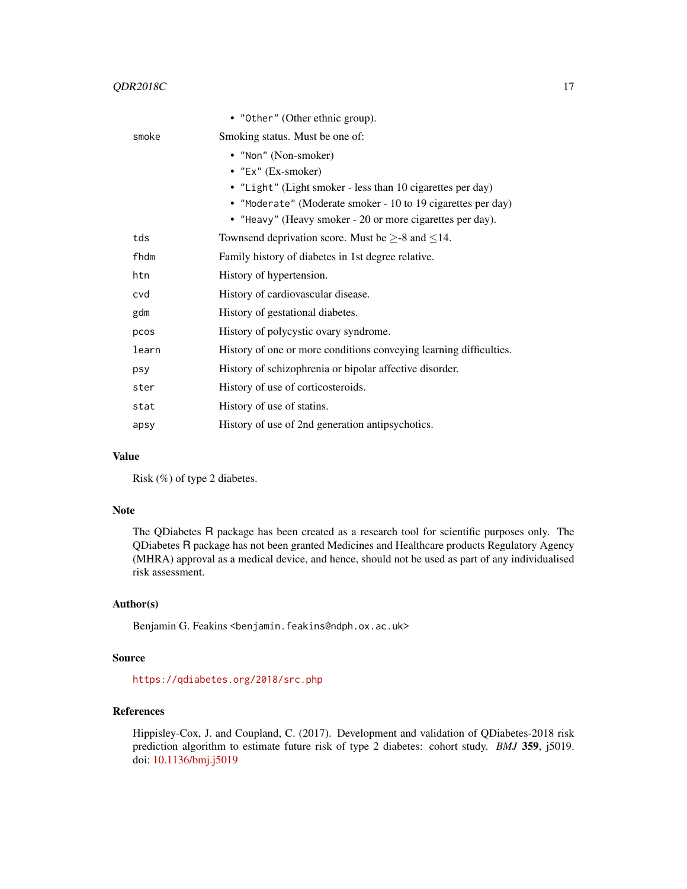|       | • "Other" (Other ethnic group).                                    |
|-------|--------------------------------------------------------------------|
| smoke | Smoking status. Must be one of:                                    |
|       | • "Non" (Non-smoker)                                               |
|       | • "Ex" $(Ex\text{-}smoker)$                                        |
|       | • "Light" (Light smoker - less than 10 cigarettes per day)         |
|       | • "Moderate" (Moderate smoker - 10 to 19 cigarettes per day)       |
|       | • "Heavy" (Heavy smoker - 20 or more cigarettes per day).          |
| tds   | Townsend deprivation score. Must be $\geq$ -8 and $\leq$ 14.       |
| fhdm  | Family history of diabetes in 1st degree relative.                 |
| htn   | History of hypertension.                                           |
| cvd   | History of cardiovascular disease.                                 |
| gdm   | History of gestational diabetes.                                   |
| pcos  | History of polycystic ovary syndrome.                              |
| learn | History of one or more conditions conveying learning difficulties. |
| psy   | History of schizophrenia or bipolar affective disorder.            |
| ster  | History of use of corticosteroids.                                 |
| stat  | History of use of statins.                                         |
| apsy  | History of use of 2nd generation antipsychotics.                   |

# Value

Risk (%) of type 2 diabetes.

#### Note

The QDiabetes R package has been created as a research tool for scientific purposes only. The QDiabetes R package has not been granted Medicines and Healthcare products Regulatory Agency (MHRA) approval as a medical device, and hence, should not be used as part of any individualised risk assessment.

# Author(s)

Benjamin G. Feakins <benjamin.feakins@ndph.ox.ac.uk>

# Source

<https://qdiabetes.org/2018/src.php>

# References

Hippisley-Cox, J. and Coupland, C. (2017). Development and validation of QDiabetes-2018 risk prediction algorithm to estimate future risk of type 2 diabetes: cohort study. *BMJ* 359, j5019. doi: [10.1136/bmj.j5019](https://doi.org/10.1136/bmj.j5019)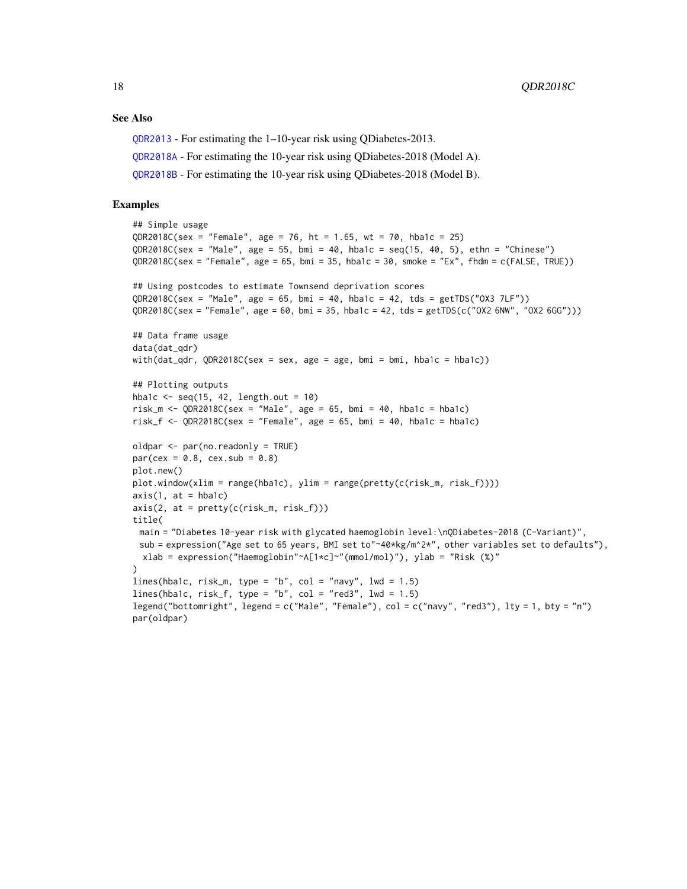## <span id="page-17-0"></span>See Also

[QDR2013](#page-8-1) - For estimating the 1–10-year risk using QDiabetes-2013.

[QDR2018A](#page-10-1) - For estimating the 10-year risk using QDiabetes-2018 (Model A).

[QDR2018B](#page-12-1) - For estimating the 10-year risk using QDiabetes-2018 (Model B).

```
## Simple usage
OR2018C(sex = "Female", age = 76, ht = 1.65, wt = 70, hba1c = 25)
QDR2018C(sex = "Male", age = 55, bmi = 40, hba1c = seq(15, 40, 5), ethn = "Chinese")
QDR2018C(sex = "Female", age = 65, bmi = 35, hba1c = 30, smoke = "Ex", fhdm = c(FALSE, TRUE))
## Using postcodes to estimate Townsend deprivation scores
QDR2018C(sex = "Male", age = 65, bmi = 40, hba1c = 42, tds = getTDS("OX3 7LF"))
QDR2018C(sex = "Female", age = 60, bmi = 35, hba1c = 42, tds = getTDS(c("OX2 6NW", "OX2 6GG")))
## Data frame usage
data(dat_qdr)
with(dat_qdr, QDR2018C(sex = sex, age = age, bmi = bmi, hba1c = hba1c))
## Plotting outputs
hba1c \leq seq(15, 42, length.out = 10)
risk_m <- QDR2018C(sex = "Male", age = 65, bmi = 40, hba1c = hba1c)
risk_f <- QDR2018C(sex = "Female", age = 65, bmi = 40, hba1c = hba1c)
oldpar <- par(no.readonly = TRUE)
par(cex = 0.8, cex.sub = 0.8)plot.new()
plot.window(xlim = range(hba1c), ylim = range(pretty(c(risk_m, risk_f))))axis(1, at = hba1c)axis(2, at = pretty(c(risk_m, risk_f)))
title(
 main = "Diabetes 10-year risk with glycated haemoglobin level:\nQDiabetes-2018 (C-Variant)",
 sub = expression("Age set to 65 years, BMI set to"~40*kg/m^2*", other variables set to defaults"),
 xlab = expression("Haemoglobin"~A[1*c]~"(mmol/mol)"), ylab = "Risk (%)"
)
lines(hba1c, risk_m, type = "b", col = "navy", lwd = 1.5)
lines(hba1c, risk_f, type = "b", col = "red3", lwd = 1.5)
legend("bottomright", legend = c("Male", "Female"), col = c("navy", "red3"), lty = 1, bty = "n")
par(oldpar)
```